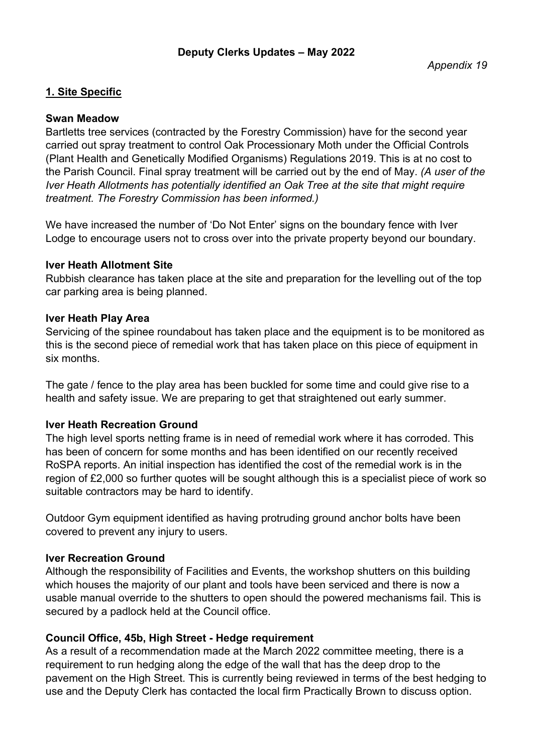# **1. Site Specific**

### **Swan Meadow**

Bartletts tree services (contracted by the Forestry Commission) have for the second year carried out spray treatment to control Oak Processionary Moth under the Official Controls (Plant Health and Genetically Modified Organisms) Regulations 2019. This is at no cost to the Parish Council. Final spray treatment will be carried out by the end of May. *(A user of the Iver Heath Allotments has potentially identified an Oak Tree at the site that might require treatment. The Forestry Commission has been informed.)*

We have increased the number of 'Do Not Enter' signs on the boundary fence with Iver Lodge to encourage users not to cross over into the private property beyond our boundary.

### **Iver Heath Allotment Site**

Rubbish clearance has taken place at the site and preparation for the levelling out of the top car parking area is being planned.

#### **Iver Heath Play Area**

Servicing of the spinee roundabout has taken place and the equipment is to be monitored as this is the second piece of remedial work that has taken place on this piece of equipment in six months.

The gate / fence to the play area has been buckled for some time and could give rise to a health and safety issue. We are preparing to get that straightened out early summer.

### **Iver Heath Recreation Ground**

The high level sports netting frame is in need of remedial work where it has corroded. This has been of concern for some months and has been identified on our recently received RoSPA reports. An initial inspection has identified the cost of the remedial work is in the region of £2,000 so further quotes will be sought although this is a specialist piece of work so suitable contractors may be hard to identify.

Outdoor Gym equipment identified as having protruding ground anchor bolts have been covered to prevent any injury to users.

### **Iver Recreation Ground**

Although the responsibility of Facilities and Events, the workshop shutters on this building which houses the majority of our plant and tools have been serviced and there is now a usable manual override to the shutters to open should the powered mechanisms fail. This is secured by a padlock held at the Council office.

### **Council Office, 45b, High Street - Hedge requirement**

As a result of a recommendation made at the March 2022 committee meeting, there is a requirement to run hedging along the edge of the wall that has the deep drop to the pavement on the High Street. This is currently being reviewed in terms of the best hedging to use and the Deputy Clerk has contacted the local firm Practically Brown to discuss option.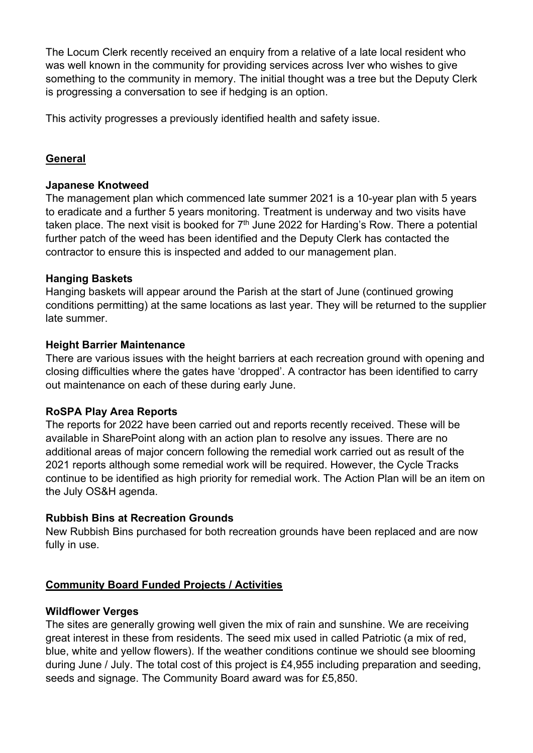The Locum Clerk recently received an enquiry from a relative of a late local resident who was well known in the community for providing services across Iver who wishes to give something to the community in memory. The initial thought was a tree but the Deputy Clerk is progressing a conversation to see if hedging is an option.

This activity progresses a previously identified health and safety issue.

## **General**

### **Japanese Knotweed**

The management plan which commenced late summer 2021 is a 10-year plan with 5 years to eradicate and a further 5 years monitoring. Treatment is underway and two visits have taken place. The next visit is booked for  $7<sup>th</sup>$  June 2022 for Harding's Row. There a potential further patch of the weed has been identified and the Deputy Clerk has contacted the contractor to ensure this is inspected and added to our management plan.

### **Hanging Baskets**

Hanging baskets will appear around the Parish at the start of June (continued growing conditions permitting) at the same locations as last year. They will be returned to the supplier late summer.

#### **Height Barrier Maintenance**

There are various issues with the height barriers at each recreation ground with opening and closing difficulties where the gates have 'dropped'. A contractor has been identified to carry out maintenance on each of these during early June.

### **RoSPA Play Area Reports**

The reports for 2022 have been carried out and reports recently received. These will be available in SharePoint along with an action plan to resolve any issues. There are no additional areas of major concern following the remedial work carried out as result of the 2021 reports although some remedial work will be required. However, the Cycle Tracks continue to be identified as high priority for remedial work. The Action Plan will be an item on the July OS&H agenda.

### **Rubbish Bins at Recreation Grounds**

New Rubbish Bins purchased for both recreation grounds have been replaced and are now fully in use.

### **Community Board Funded Projects / Activities**

### **Wildflower Verges**

The sites are generally growing well given the mix of rain and sunshine. We are receiving great interest in these from residents. The seed mix used in called Patriotic (a mix of red, blue, white and yellow flowers). If the weather conditions continue we should see blooming during June / July. The total cost of this project is £4,955 including preparation and seeding, seeds and signage. The Community Board award was for £5,850.